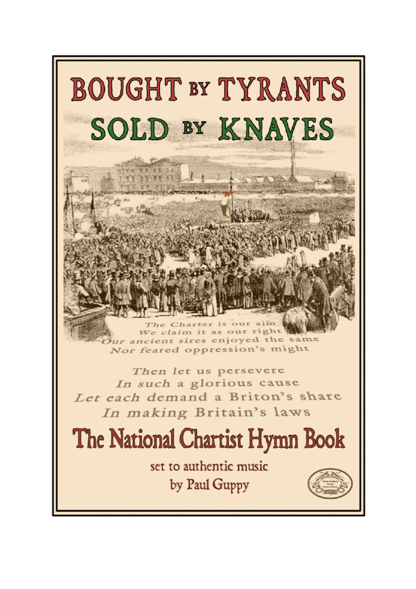